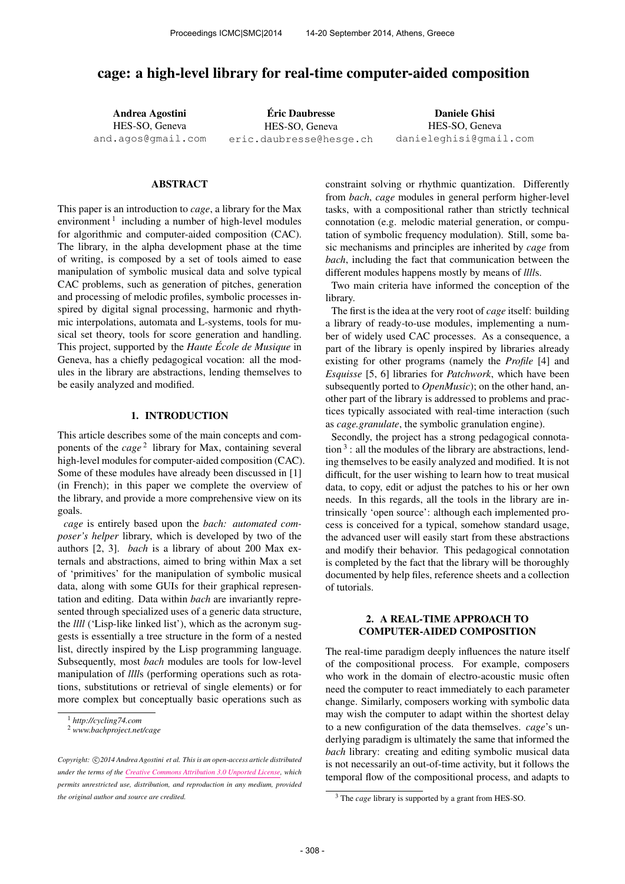# cage: a high-level library for real-time computer-aided composition

Andrea Agostini HES-SO, Geneva [and.agos@gmail.com](mailto:and.agos@gmail.com)

Eric Daubresse ´ HES-SO, Geneva [eric.daubresse@hesge.ch](mailto:eric.daubresse@hesge.ch)

Daniele Ghisi HES-SO, Geneva [danieleghisi@gmail.com](mailto:danieleghisi@gmail.com)

#### ABSTRACT

This paper is an introduction to *cage*, a library for the Max environment<sup>1</sup> including a number of high-level modules for algorithmic and computer-aided composition (CAC). The library, in the alpha development phase at the time of writing, is composed by a set of tools aimed to ease manipulation of symbolic musical data and solve typical CAC problems, such as generation of pitches, generation and processing of melodic profiles, symbolic processes inspired by digital signal processing, harmonic and rhythmic interpolations, automata and L-systems, tools for musical set theory, tools for score generation and handling. This project, supported by the *Haute École de Musique* in Geneva, has a chiefly pedagogical vocation: all the modules in the library are abstractions, lending themselves to be easily analyzed and modified.

### 1. INTRODUCTION

This article describes some of the main concepts and components of the *cage*<sup>2</sup> library for Max, containing several high-level modules for computer-aided composition (CAC). Some of these modules have already been discussed in [1] (in French); in this paper we complete the overview of the library, and provide a more comprehensive view on its goals.

*cage* is entirely based upon the *bach: automated composer's helper* library, which is developed by two of the authors [2, 3]. *bach* is a library of about 200 Max externals and abstractions, aimed to bring within Max a set of 'primitives' for the manipulation of symbolic musical data, along with some GUIs for their graphical representation and editing. Data within *bach* are invariantly represented through specialized uses of a generic data structure, the *llll* ('Lisp-like linked list'), which as the acronym suggests is essentially a tree structure in the form of a nested list, directly inspired by the Lisp programming language. Subsequently, most *bach* modules are tools for low-level manipulation of *llll*s (performing operations such as rotations, substitutions or retrieval of single elements) or for more complex but conceptually basic operations such as constraint solving or rhythmic quantization. Differently from *bach*, *cage* modules in general perform higher-level tasks, with a compositional rather than strictly technical connotation (e.g. melodic material generation, or computation of symbolic frequency modulation). Still, some basic mechanisms and principles are inherited by *cage* from *bach*, including the fact that communication between the different modules happens mostly by means of *llll*s.

Two main criteria have informed the conception of the library.

The first is the idea at the very root of *cage* itself: building a library of ready-to-use modules, implementing a number of widely used CAC processes. As a consequence, a part of the library is openly inspired by libraries already existing for other programs (namely the *Profile* [4] and *Esquisse* [5, 6] libraries for *Patchwork*, which have been subsequently ported to *OpenMusic*); on the other hand, another part of the library is addressed to problems and practices typically associated with real-time interaction (such as *cage.granulate*, the symbolic granulation engine).

Secondly, the project has a strong pedagogical connota- $\frac{1}{3}$  : all the modules of the library are abstractions, lending themselves to be easily analyzed and modified. It is not difficult, for the user wishing to learn how to treat musical data, to copy, edit or adjust the patches to his or her own needs. In this regards, all the tools in the library are intrinsically 'open source': although each implemented process is conceived for a typical, somehow standard usage, the advanced user will easily start from these abstractions and modify their behavior. This pedagogical connotation is completed by the fact that the library will be thoroughly documented by help files, reference sheets and a collection of tutorials.

### 2. A REAL-TIME APPROACH TO COMPUTER-AIDED COMPOSITION

The real-time paradigm deeply influences the nature itself of the compositional process. For example, composers who work in the domain of electro-acoustic music often need the computer to react immediately to each parameter change. Similarly, composers working with symbolic data may wish the computer to adapt within the shortest delay to a new configuration of the data themselves. *cage*'s underlying paradigm is ultimately the same that informed the *bach* library: creating and editing symbolic musical data is not necessarily an out-of-time activity, but it follows the temporal flow of the compositional process, and adapts to

<sup>1</sup> *http://cycling74.com*

<sup>2</sup> *www.bachproject.net/cage*

Copyright:  $\bigcirc$ 2014 Andrea Agostini et al. This is an open-access article distributed *under the terms of the [Creative Commons Attribution 3.0 Unported License,](http://creativecommons.org/licenses/by/3.0/) which permits unrestricted use, distribution, and reproduction in any medium, provided the original author and source are credited.*

<sup>3</sup> The *cage* library is supported by a grant from HES-SO.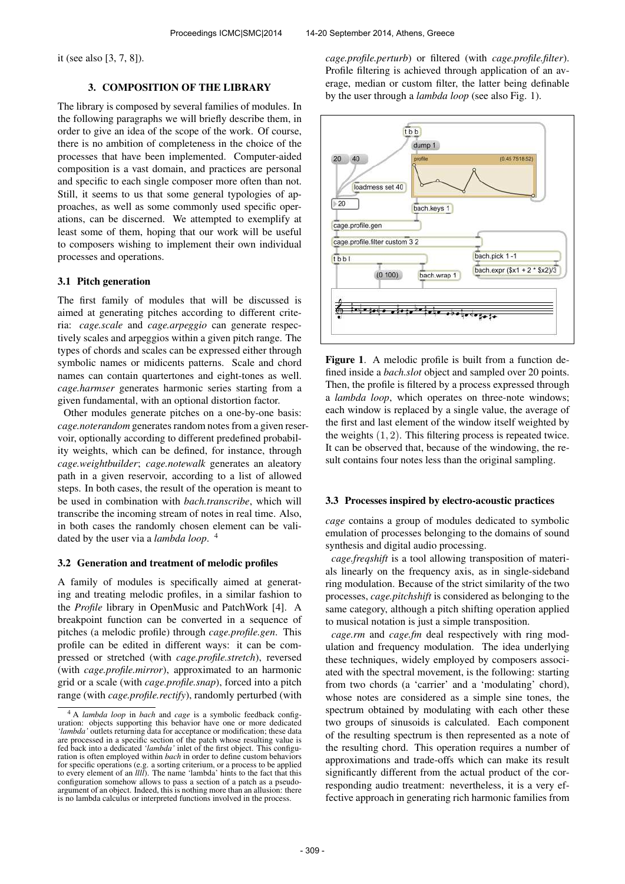it (see also [3, 7, 8]).

# 3. COMPOSITION OF THE LIBRARY

The library is composed by several families of modules. In the following paragraphs we will briefly describe them, in order to give an idea of the scope of the work. Of course, there is no ambition of completeness in the choice of the processes that have been implemented. Computer-aided composition is a vast domain, and practices are personal and specific to each single composer more often than not. Still, it seems to us that some general typologies of approaches, as well as some commonly used specific operations, can be discerned. We attempted to exemplify at least some of them, hoping that our work will be useful to composers wishing to implement their own individual processes and operations.

### 3.1 Pitch generation

The first family of modules that will be discussed is aimed at generating pitches according to different criteria: *cage.scale* and *cage.arpeggio* can generate respectively scales and arpeggios within a given pitch range. The types of chords and scales can be expressed either through symbolic names or midicents patterns. Scale and chord names can contain quartertones and eight-tones as well. *cage.harmser* generates harmonic series starting from a given fundamental, with an optional distortion factor.

Other modules generate pitches on a one-by-one basis: *cage.noterandom* generates random notes from a given reservoir, optionally according to different predefined probability weights, which can be defined, for instance, through *cage.weightbuilder*; *cage.notewalk* generates an aleatory path in a given reservoir, according to a list of allowed steps. In both cases, the result of the operation is meant to be used in combination with *bach.transcribe*, which will transcribe the incoming stream of notes in real time. Also, in both cases the randomly chosen element can be validated by the user via a *lambda loop*. 4

#### 3.2 Generation and treatment of melodic profiles

A family of modules is specifically aimed at generating and treating melodic profiles, in a similar fashion to the *Profile* library in OpenMusic and PatchWork [4]. A breakpoint function can be converted in a sequence of pitches (a melodic profile) through *cage.profile.gen*. This profile can be edited in different ways: it can be compressed or stretched (with *cage.profile.stretch*), reversed (with *cage.profile.mirror*), approximated to an harmonic grid or a scale (with *cage.profile.snap*), forced into a pitch range (with *cage.profile.rectify*), randomly perturbed (with

*cage.profile.perturb*) or filtered (with *cage.profile.filter*). Profile filtering is achieved through application of an average, median or custom filter, the latter being definable by the user through a *lambda loop* (see also Fig. 1).



Figure 1. A melodic profile is built from a function defined inside a *bach.slot* object and sampled over 20 points. Then, the profile is filtered by a process expressed through a *lambda loop*, which operates on three-note windows; each window is replaced by a single value, the average of the first and last element of the window itself weighted by the weights  $(1, 2)$ . This filtering process is repeated twice. It can be observed that, because of the windowing, the result contains four notes less than the original sampling.

#### 3.3 Processes inspired by electro-acoustic practices

*cage* contains a group of modules dedicated to symbolic emulation of processes belonging to the domains of sound synthesis and digital audio processing.

*cage.freqshift* is a tool allowing transposition of materials linearly on the frequency axis, as in single-sideband ring modulation. Because of the strict similarity of the two processes, *cage.pitchshift* is considered as belonging to the same category, although a pitch shifting operation applied to musical notation is just a simple transposition.

*cage.rm* and *cage.fm* deal respectively with ring modulation and frequency modulation. The idea underlying these techniques, widely employed by composers associated with the spectral movement, is the following: starting from two chords (a 'carrier' and a 'modulating' chord), whose notes are considered as a simple sine tones, the spectrum obtained by modulating with each other these two groups of sinusoids is calculated. Each component of the resulting spectrum is then represented as a note of the resulting chord. This operation requires a number of approximations and trade-offs which can make its result significantly different from the actual product of the corresponding audio treatment: nevertheless, it is a very effective approach in generating rich harmonic families from

<sup>4</sup> A *lambda loop* in *bach* and *cage* is a symbolic feedback configuration: objects supporting this behavior have one or more dedicated 'lambda' outlets returning data for acceptance or modification; these data all the processed in a specific section of the patch whose resulting value is fed back into a dedicated *'lambda'* inlet of the first object. This configuration is often employed within *bach* in order to define custom behaviors for specific operations (e.g. a sorting criterium, or a process to be applied to every element of an *llll*). The name 'lambda' hints to the fact that this configuration somehow allows to pass a section of a patch as a pseudo-argument of an object. Indeed, this is nothing more than an allusion: there is no lambda calculus or interpreted functions involved in the process.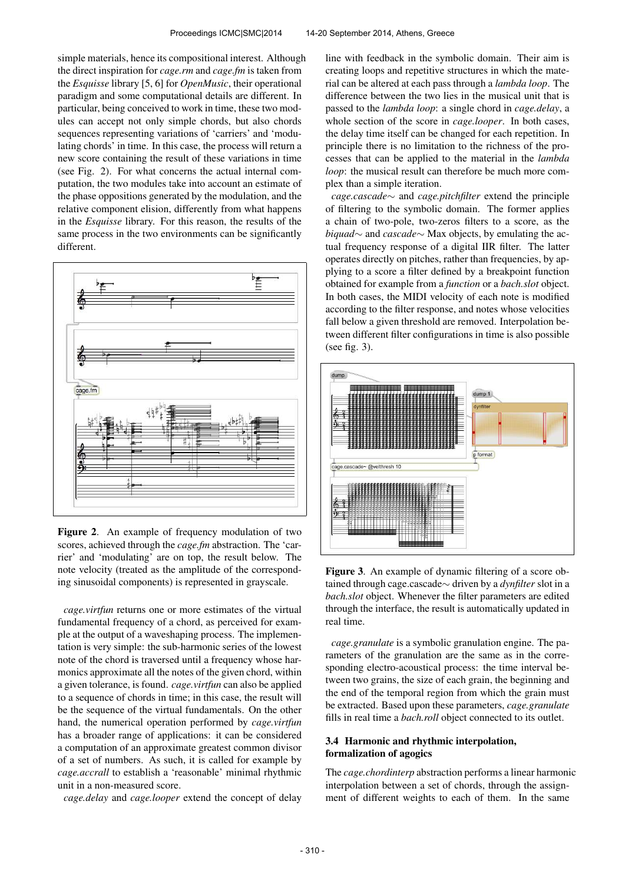simple materials, hence its compositional interest. Although the direct inspiration for *cage.rm* and *cage.fm* is taken from the *Esquisse* library [5, 6] for *OpenMusic*, their operational paradigm and some computational details are different. In particular, being conceived to work in time, these two modules can accept not only simple chords, but also chords sequences representing variations of 'carriers' and 'modulating chords' in time. In this case, the process will return a new score containing the result of these variations in time (see Fig. 2). For what concerns the actual internal computation, the two modules take into account an estimate of the phase oppositions generated by the modulation, and the relative component elision, differently from what happens in the *Esquisse* library. For this reason, the results of the same process in the two environments can be significantly different.



Figure 2. An example of frequency modulation of two scores, achieved through the *cage.fm* abstraction. The 'carrier' and 'modulating' are on top, the result below. The note velocity (treated as the amplitude of the corresponding sinusoidal components) is represented in grayscale.

*cage.virtfun* returns one or more estimates of the virtual fundamental frequency of a chord, as perceived for example at the output of a waveshaping process. The implementation is very simple: the sub-harmonic series of the lowest note of the chord is traversed until a frequency whose harmonics approximate all the notes of the given chord, within a given tolerance, is found. *cage.virtfun* can also be applied to a sequence of chords in time; in this case, the result will be the sequence of the virtual fundamentals. On the other hand, the numerical operation performed by *cage.virtfun* has a broader range of applications: it can be considered a computation of an approximate greatest common divisor of a set of numbers. As such, it is called for example by *cage.accrall* to establish a 'reasonable' minimal rhythmic unit in a non-measured score.

*cage.delay* and *cage.looper* extend the concept of delay

line with feedback in the symbolic domain. Their aim is creating loops and repetitive structures in which the material can be altered at each pass through a *lambda loop*. The difference between the two lies in the musical unit that is passed to the *lambda loop*: a single chord in *cage.delay*, a whole section of the score in *cage.looper*. In both cases, the delay time itself can be changed for each repetition. In principle there is no limitation to the richness of the processes that can be applied to the material in the *lambda loop*: the musical result can therefore be much more complex than a simple iteration.

*cage.cascade*∼ and *cage.pitchfilter* extend the principle of filtering to the symbolic domain. The former applies a chain of two-pole, two-zeros filters to a score, as the *biquad*∼ and *cascade*∼ Max objects, by emulating the actual frequency response of a digital IIR filter. The latter operates directly on pitches, rather than frequencies, by applying to a score a filter defined by a breakpoint function obtained for example from a *function* or a *bach.slot* object. In both cases, the MIDI velocity of each note is modified according to the filter response, and notes whose velocities fall below a given threshold are removed. Interpolation between different filter configurations in time is also possible (see fig. 3).



Figure 3. An example of dynamic filtering of a score obtained through cage.cascade∼ driven by a *dynfilter* slot in a *bach.slot* object. Whenever the filter parameters are edited through the interface, the result is automatically updated in real time.

*cage.granulate* is a symbolic granulation engine. The parameters of the granulation are the same as in the corresponding electro-acoustical process: the time interval between two grains, the size of each grain, the beginning and the end of the temporal region from which the grain must be extracted. Based upon these parameters, *cage.granulate* fills in real time a *bach.roll* object connected to its outlet.

# 3.4 Harmonic and rhythmic interpolation, formalization of agogics

The *cage.chordinterp* abstraction performs a linear harmonic interpolation between a set of chords, through the assignment of different weights to each of them. In the same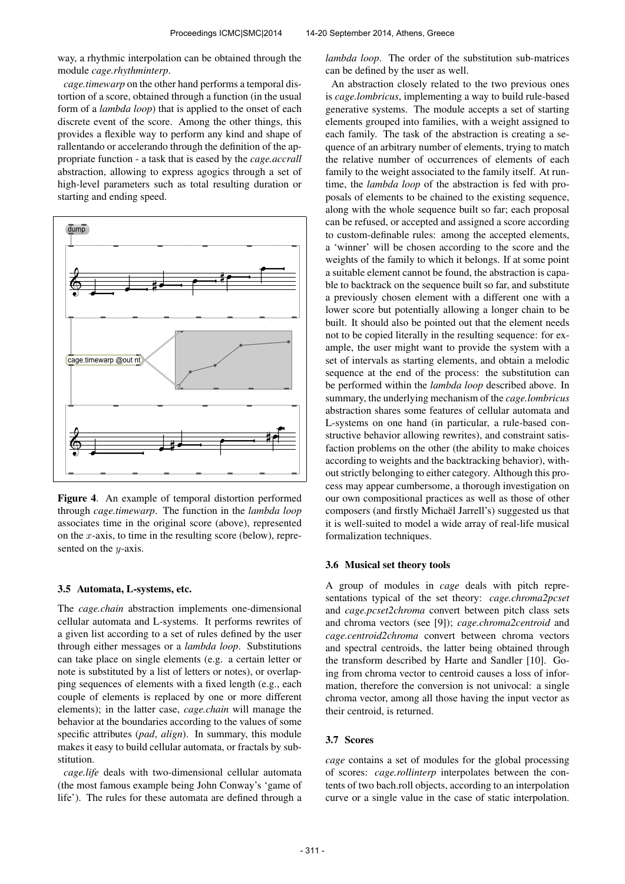way, a rhythmic interpolation can be obtained through the module *cage.rhythminterp*.

*cage.timewarp* on the other hand performs a temporal distortion of a score, obtained through a function (in the usual form of a *lambda loop*) that is applied to the onset of each discrete event of the score. Among the other things, this provides a flexible way to perform any kind and shape of rallentando or accelerando through the definition of the appropriate function - a task that is eased by the *cage.accrall* abstraction, allowing to express agogics through a set of high-level parameters such as total resulting duration or starting and ending speed.



Figure 4. An example of temporal distortion performed through *cage.timewarp*. The function in the *lambda loop* associates time in the original score (above), represented on the x-axis, to time in the resulting score (below), represented on the  $y$ -axis.

#### 3.5 Automata, L-systems, etc.

The *cage.chain* abstraction implements one-dimensional cellular automata and L-systems. It performs rewrites of a given list according to a set of rules defined by the user through either messages or a *lambda loop*. Substitutions can take place on single elements (e.g. a certain letter or note is substituted by a list of letters or notes), or overlapping sequences of elements with a fixed length (e.g., each couple of elements is replaced by one or more different elements); in the latter case, *cage.chain* will manage the behavior at the boundaries according to the values of some specific attributes (*pad*, *align*). In summary, this module makes it easy to build cellular automata, or fractals by substitution.

*cage.life* deals with two-dimensional cellular automata (the most famous example being John Conway's 'game of life'). The rules for these automata are defined through a *lambda loop*. The order of the substitution sub-matrices can be defined by the user as well.

An abstraction closely related to the two previous ones is *cage.lombricus*, implementing a way to build rule-based generative systems. The module accepts a set of starting elements grouped into families, with a weight assigned to each family. The task of the abstraction is creating a sequence of an arbitrary number of elements, trying to match the relative number of occurrences of elements of each family to the weight associated to the family itself. At runtime, the *lambda loop* of the abstraction is fed with proposals of elements to be chained to the existing sequence, along with the whole sequence built so far; each proposal can be refused, or accepted and assigned a score according to custom-definable rules: among the accepted elements, a 'winner' will be chosen according to the score and the weights of the family to which it belongs. If at some point a suitable element cannot be found, the abstraction is capable to backtrack on the sequence built so far, and substitute a previously chosen element with a different one with a lower score but potentially allowing a longer chain to be built. It should also be pointed out that the element needs not to be copied literally in the resulting sequence: for example, the user might want to provide the system with a set of intervals as starting elements, and obtain a melodic sequence at the end of the process: the substitution can be performed within the *lambda loop* described above. In summary, the underlying mechanism of the *cage.lombricus* abstraction shares some features of cellular automata and L-systems on one hand (in particular, a rule-based constructive behavior allowing rewrites), and constraint satisfaction problems on the other (the ability to make choices according to weights and the backtracking behavior), without strictly belonging to either category. Although this process may appear cumbersome, a thorough investigation on our own compositional practices as well as those of other composers (and firstly Michaël Jarrell's) suggested us that it is well-suited to model a wide array of real-life musical formalization techniques.

#### 3.6 Musical set theory tools

A group of modules in *cage* deals with pitch representations typical of the set theory: *cage.chroma2pcset* and *cage.pcset2chroma* convert between pitch class sets and chroma vectors (see [9]); *cage.chroma2centroid* and *cage.centroid2chroma* convert between chroma vectors and spectral centroids, the latter being obtained through the transform described by Harte and Sandler [10]. Going from chroma vector to centroid causes a loss of information, therefore the conversion is not univocal: a single chroma vector, among all those having the input vector as their centroid, is returned.

### 3.7 Scores

*cage* contains a set of modules for the global processing of scores: *cage.rollinterp* interpolates between the contents of two bach.roll objects, according to an interpolation curve or a single value in the case of static interpolation.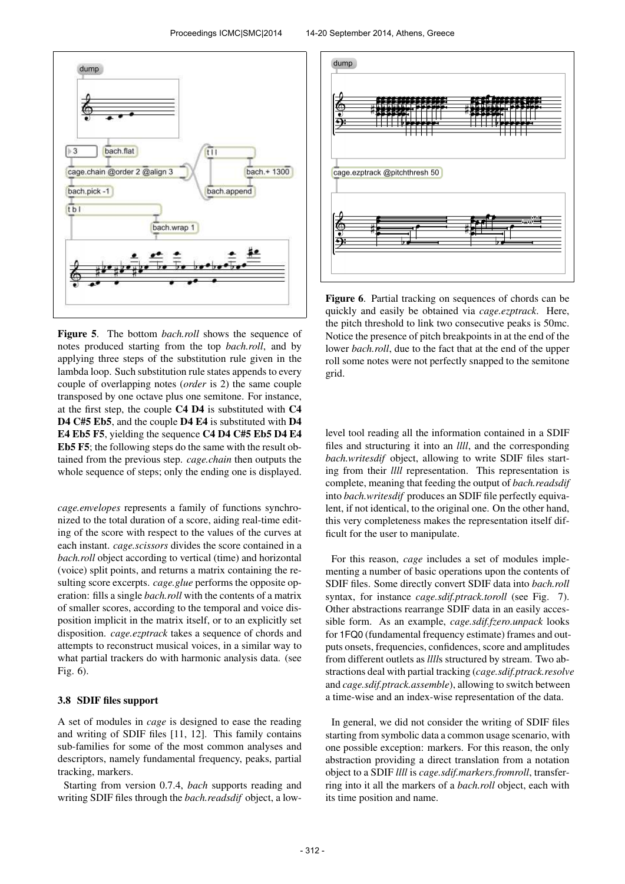

Figure 5. The bottom *bach.roll* shows the sequence of notes produced starting from the top *bach.roll*, and by applying three steps of the substitution rule given in the lambda loop. Such substitution rule states appends to every couple of overlapping notes (*order* is 2) the same couple transposed by one octave plus one semitone. For instance, at the first step, the couple C4 D4 is substituted with C4 D4 C#5 Eb5, and the couple D4 E4 is substituted with D4 E4 Eb5 F5, yielding the sequence C4 D4 C#5 Eb5 D4 E4 Eb5 F5; the following steps do the same with the result obtained from the previous step. *cage.chain* then outputs the whole sequence of steps; only the ending one is displayed.

*cage.envelopes* represents a family of functions synchronized to the total duration of a score, aiding real-time editing of the score with respect to the values of the curves at each instant. *cage.scissors* divides the score contained in a *bach.roll* object according to vertical (time) and horizontal (voice) split points, and returns a matrix containing the resulting score excerpts. *cage.glue* performs the opposite operation: fills a single *bach.roll* with the contents of a matrix of smaller scores, according to the temporal and voice disposition implicit in the matrix itself, or to an explicitly set disposition. *cage.ezptrack* takes a sequence of chords and attempts to reconstruct musical voices, in a similar way to what partial trackers do with harmonic analysis data. (see Fig. 6).

### 3.8 SDIF files support

A set of modules in *cage* is designed to ease the reading and writing of SDIF files [11, 12]. This family contains sub-families for some of the most common analyses and descriptors, namely fundamental frequency, peaks, partial tracking, markers.

Starting from version 0.7.4, *bach* supports reading and writing SDIF files through the *bach.readsdif* object, a low-



Figure 6. Partial tracking on sequences of chords can be quickly and easily be obtained via *cage.ezptrack*. Here, the pitch threshold to link two consecutive peaks is 50mc. Notice the presence of pitch breakpoints in at the end of the lower *bach.roll*, due to the fact that at the end of the upper roll some notes were not perfectly snapped to the semitone grid.

level tool reading all the information contained in a SDIF files and structuring it into an *llll*, and the corresponding *bach.writesdif* object, allowing to write SDIF files starting from their *llll* representation. This representation is complete, meaning that feeding the output of *bach.readsdif* into *bach.writesdif* produces an SDIF file perfectly equivalent, if not identical, to the original one. On the other hand, this very completeness makes the representation itself difficult for the user to manipulate.

For this reason, *cage* includes a set of modules implementing a number of basic operations upon the contents of SDIF files. Some directly convert SDIF data into *bach.roll* syntax, for instance *cage.sdif.ptrack.toroll* (see Fig. 7). Other abstractions rearrange SDIF data in an easily accessible form. As an example, *cage.sdif.fzero.unpack* looks for 1FQ0 (fundamental frequency estimate) frames and outputs onsets, frequencies, confidences, score and amplitudes from different outlets as *llll*s structured by stream. Two abstractions deal with partial tracking (*cage.sdif.ptrack.resolve* and *cage.sdif.ptrack.assemble*), allowing to switch between a time-wise and an index-wise representation of the data.

In general, we did not consider the writing of SDIF files starting from symbolic data a common usage scenario, with one possible exception: markers. For this reason, the only abstraction providing a direct translation from a notation object to a SDIF *llll* is *cage.sdif.markers.fromroll*, transferring into it all the markers of a *bach.roll* object, each with its time position and name.